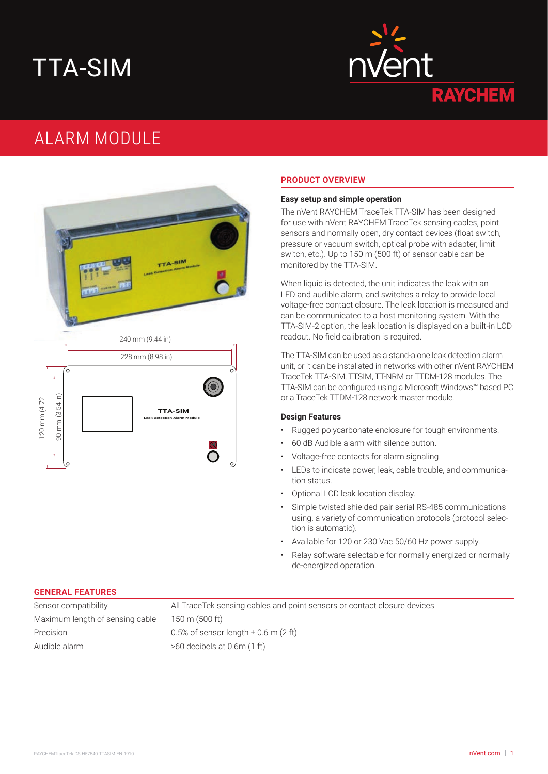# TTA-SIM



# ALARM MODULE



### **PRODUCT OVERVIEW**

#### **Easy setup and simple operation**

The nVent RAYCHEM TraceTek TTA-SIM has been designed for use with nVent RAYCHEM TraceTek sensing cables, point sensors and normally open, dry contact devices (float switch, pressure or vacuum switch, optical probe with adapter, limit switch, etc.). Up to 150 m (500 ft) of sensor cable can be monitored by the TTA-SIM.

When liquid is detected, the unit indicates the leak with an LED and audible alarm, and switches a relay to provide local voltage-free contact closure. The leak location is measured and can be communicated to a host monitoring system. With the TTA-SIM-2 option, the leak location is displayed on a built-in LCD readout. No field calibration is required.

The TTA-SIM can be used as a stand-alone leak detection alarm unit, or it can be installated in networks with other nVent RAYCHEM TraceTek TTA-SIM, TTSIM, TT-NRM or TTDM-128 modules. The TTA-SIM can be configured using a Microsoft Windows™ based PC or a TraceTek TTDM-128 network master module.

#### **Design Features**

- Rugged polycarbonate enclosure for tough environments.
- 60 dB Audible alarm with silence button.
- Voltage-free contacts for alarm signaling.
- LEDs to indicate power, leak, cable trouble, and communication status.
- Optional LCD leak location display.
- Simple twisted shielded pair serial RS-485 communications using. a variety of communication protocols (protocol selection is automatic).
- Available for 120 or 230 Vac 50/60 Hz power supply.
- Relay software selectable for normally energized or normally de-energized operation.

#### **GENERAL FEATURES**

Maximum length of sensing cable 150 m (500 ft) Precision 0.5% of sensor length ± 0.6 m (2 ft) Audible alarm >60 decibels at 0.6m (1 ft)

Sensor compatibility All TraceTek sensing cables and point sensors or contact closure devices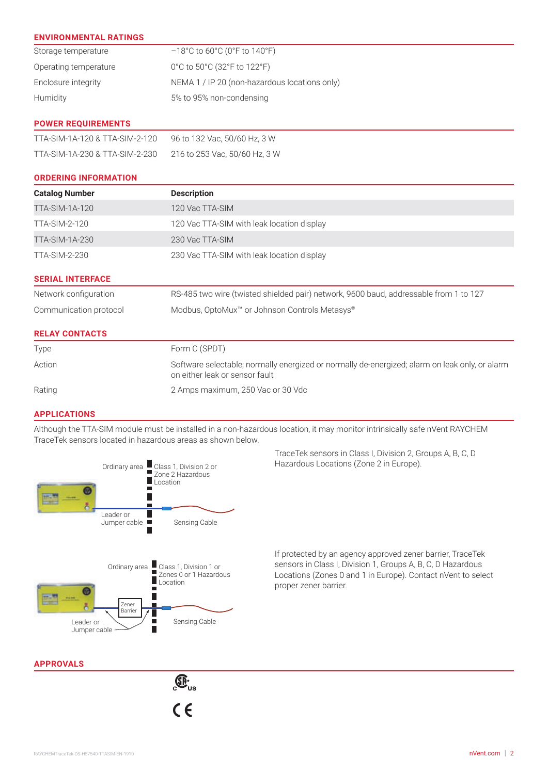| <b>ENVIRONMENTAL RATINGS</b>   |                                                                                                                                  |
|--------------------------------|----------------------------------------------------------------------------------------------------------------------------------|
| Storage temperature            | $-18^{\circ}$ C to 60 $^{\circ}$ C (0 $^{\circ}$ F to 140 $^{\circ}$ F)                                                          |
| Operating temperature          | 0°C to 50°C (32°F to 122°F)                                                                                                      |
| Enclosure integrity            | NEMA 1 / IP 20 (non-hazardous locations only)                                                                                    |
| Humidity                       | 5% to 95% non-condensing                                                                                                         |
| <b>POWER REQUIREMENTS</b>      |                                                                                                                                  |
| TTA-SIM-1A-120 & TTA-SIM-2-120 | 96 to 132 Vac, 50/60 Hz, 3 W                                                                                                     |
| TTA-SIM-1A-230 & TTA-SIM-2-230 | 216 to 253 Vac, 50/60 Hz, 3 W                                                                                                    |
| <b>ORDERING INFORMATION</b>    |                                                                                                                                  |
| <b>Catalog Number</b>          | <b>Description</b>                                                                                                               |
| <b>TTA-SIM-1A-120</b>          | 120 Vac TTA-SIM                                                                                                                  |
| <b>TTA-SIM-2-120</b>           | 120 Vac TTA-SIM with leak location display                                                                                       |
| <b>TTA-SIM-1A-230</b>          | 230 Vac TTA-SIM                                                                                                                  |
| TTA-SIM-2-230                  | 230 Vac TTA-SIM with leak location display                                                                                       |
| <b>SERIAL INTERFACE</b>        |                                                                                                                                  |
| Network configuration          | RS-485 two wire (twisted shielded pair) network, 9600 baud, addressable from 1 to 127                                            |
| Communication protocol         | Modbus, OptoMux <sup>™</sup> or Johnson Controls Metasys®                                                                        |
| <b>RELAY CONTACTS</b>          |                                                                                                                                  |
| Type                           | Form C (SPDT)                                                                                                                    |
| Action                         | Software selectable; normally energized or normally de-energized; alarm on leak only, or alarm<br>on either leak or sensor fault |
| Rating                         | 2 Amps maximum, 250 Vac or 30 Vdc                                                                                                |
| <b>APPLICATIONS</b>            |                                                                                                                                  |

Although the TTA-SIM module must be installed in a non-hazardous location, it may monitor intrinsically safe nVent RAYCHEM TraceTek sensors located in hazardous areas as shown below.



TraceTek sensors in Class I, Division 2, Groups A, B, C, D Hazardous Locations (Zone 2 in Europe).

If protected by an agency approved zener barrier, TraceTek sensors in Class I, Division 1, Groups A, B, C, D Hazardous Locations (Zones 0 and 1 in Europe). Contact nVent to select proper zener barrier.

**APPROVALS**